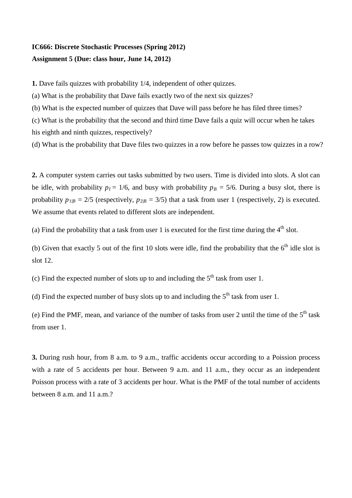## **IC666: Discrete Stochastic Processes (Spring 2012) Assignment 5 (Due: class hour, June 14, 2012)**

**1.** Dave fails quizzes with probability 1/4, independent of other quizzes.

(a) What is the probability that Dave fails exactly two of the next six quizzes?

(b) What is the expected number of quizzes that Dave will pass before he has filed three times?

(c) What is the probability that the second and third time Dave fails a quiz will occur when he takes his eighth and ninth quizzes, respectively?

(d) What is the probability that Dave files two quizzes in a row before he passes tow quizzes in a row?

**2.** A computer system carries out tasks submitted by two users. Time is divided into slots. A slot can be idle, with probability  $p_I = 1/6$ , and busy with probability  $p_B = 5/6$ . During a busy slot, there is probability  $p_{1|B} = 2/5$  (respectively,  $p_{2|B} = 3/5$ ) that a task from user 1 (respectively, 2) is executed. We assume that events related to different slots are independent.

(a) Find the probability that a task from user 1 is executed for the first time during the  $4<sup>th</sup>$  slot.

(b) Given that exactly 5 out of the first 10 slots were idle, find the probability that the  $6<sup>th</sup>$  idle slot is slot 12.

(c) Find the expected number of slots up to and including the  $5<sup>th</sup>$  task from user 1.

(d) Find the expected number of busy slots up to and including the  $5<sup>th</sup>$  task from user 1.

(e) Find the PMF, mean, and variance of the number of tasks from user 2 until the time of the  $5<sup>th</sup>$  task from user 1.

**3.** During rush hour, from 8 a.m. to 9 a.m., traffic accidents occur according to a Poission process with a rate of 5 accidents per hour. Between 9 a.m. and 11 a.m., they occur as an independent Poisson process with a rate of 3 accidents per hour. What is the PMF of the total number of accidents between  $8$  a.m. and  $11$  a.m.?